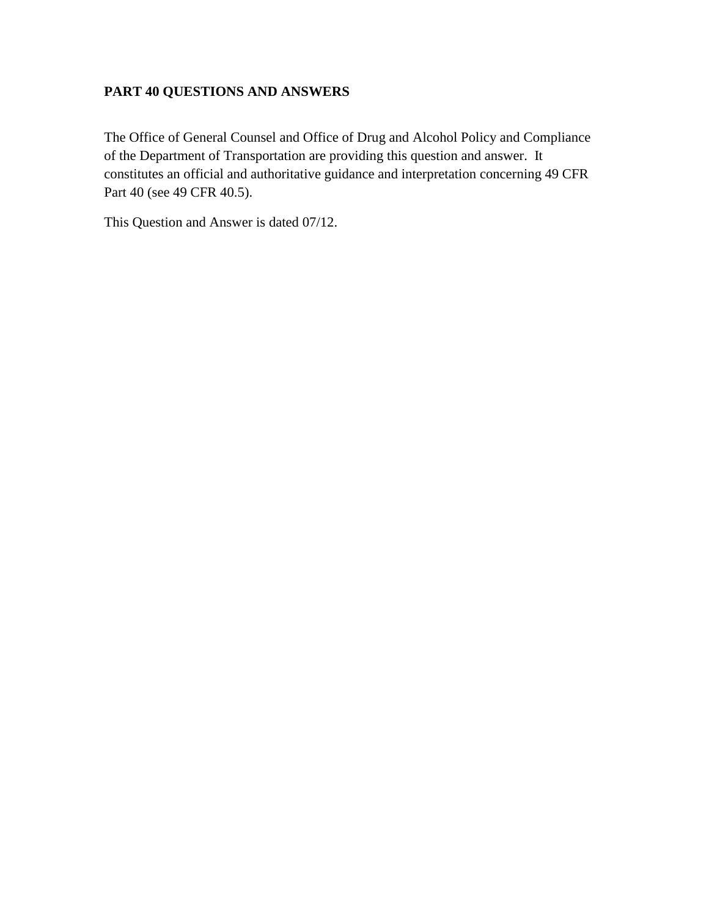## **PART 40 QUESTIONS AND ANSWERS**

The Office of General Counsel and Office of Drug and Alcohol Policy and Compliance of the Department of Transportation are providing this question and answer. It constitutes an official and authoritative guidance and interpretation concerning 49 CFR Part 40 (see 49 CFR 40.5).

This Question and Answer is dated 07/12.